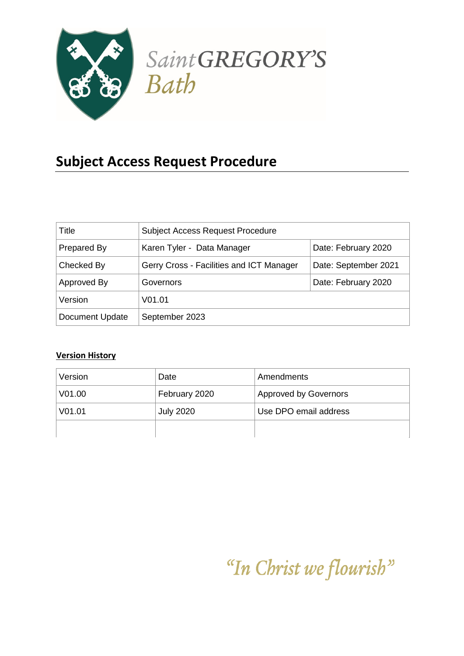

# **Subject Access Request Procedure**

| Title                  | <b>Subject Access Request Procedure</b>  |                      |
|------------------------|------------------------------------------|----------------------|
| Prepared By            | Karen Tyler - Data Manager               | Date: February 2020  |
| Checked By             | Gerry Cross - Facilities and ICT Manager | Date: September 2021 |
| Approved By            | Governors                                | Date: February 2020  |
| Version                | V <sub>01.01</sub>                       |                      |
| <b>Document Update</b> | September 2023                           |                      |

# **Version History**

| Version            | Date             | Amendments                   |
|--------------------|------------------|------------------------------|
| V01.00             | February 2020    | <b>Approved by Governors</b> |
| V <sub>01.01</sub> | <b>July 2020</b> | Use DPO email address        |
|                    |                  |                              |

# "In Christ we flourish"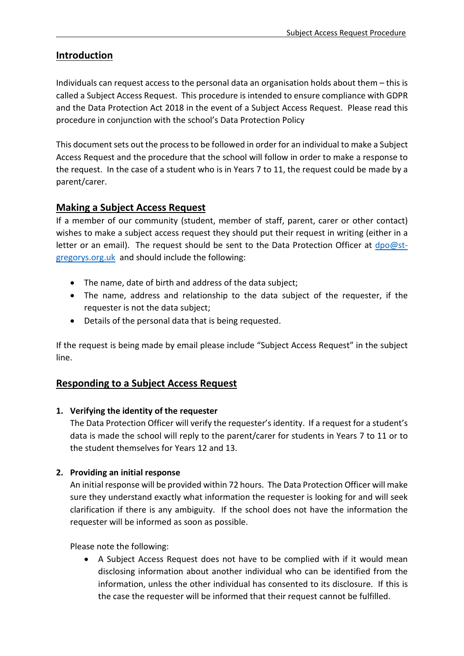# **Introduction**

Individuals can request access to the personal data an organisation holds about them – this is called a Subject Access Request. This procedure is intended to ensure compliance with GDPR and the Data Protection Act 2018 in the event of a Subject Access Request. Please read this procedure in conjunction with the school's Data Protection Policy

This document sets out the process to be followed in order for an individual to make a Subject Access Request and the procedure that the school will follow in order to make a response to the request. In the case of a student who is in Years 7 to 11, the request could be made by a parent/carer.

# **Making a Subject Access Request**

If a member of our community (student, member of staff, parent, carer or other contact) wishes to make a subject access request they should put their request in writing (either in a letter or an email). The request should be sent to the Data Protection Officer at [dpo@st](mailto:dpo@st-gregorys.org.uk)[gregorys.org.uk](mailto:dpo@st-gregorys.org.uk) and should include the following:

- The name, date of birth and address of the data subject;
- The name, address and relationship to the data subject of the requester, if the requester is not the data subject;
- Details of the personal data that is being requested.

If the request is being made by email please include "Subject Access Request" in the subject line.

#### **Responding to a Subject Access Request**

#### **1. Verifying the identity of the requester**

The Data Protection Officer will verify the requester's identity. If a request for a student's data is made the school will reply to the parent/carer for students in Years 7 to 11 or to the student themselves for Years 12 and 13.

#### **2. Providing an initial response**

An initial response will be provided within 72 hours. The Data Protection Officer will make sure they understand exactly what information the requester is looking for and will seek clarification if there is any ambiguity. If the school does not have the information the requester will be informed as soon as possible.

Please note the following:

• A Subject Access Request does not have to be complied with if it would mean disclosing information about another individual who can be identified from the information, unless the other individual has consented to its disclosure. If this is the case the requester will be informed that their request cannot be fulfilled.